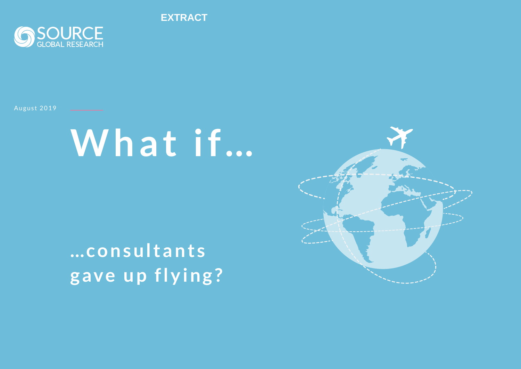**EXTRACT**



August 2019

# **What if…**

**… c o n s u l t a n t s gave up flying?**

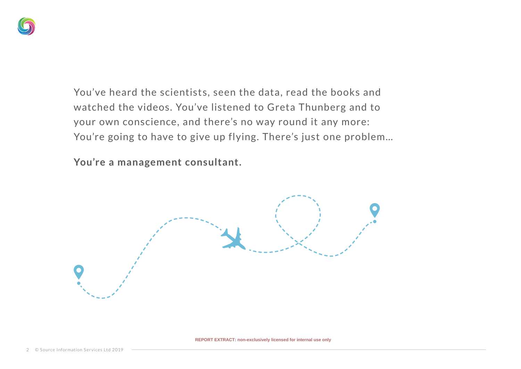

You've heard the scientists, seen the data, read the books and watched the videos. You've listened to Greta Thunberg and to your own conscience, and there's no way round it any more: You're going to have to give up flying. There's just one problem…

**You're a management consultant.** 

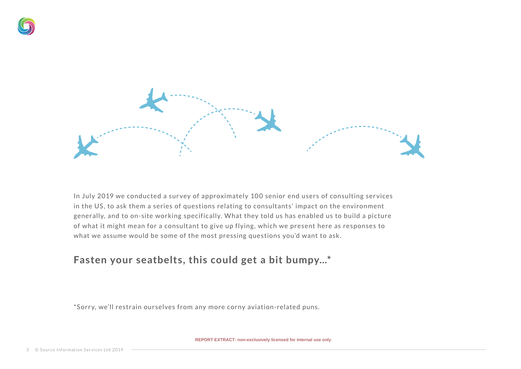



In July 2019 we conducted a survey of approximately 100 senior end users of consulting services in the US, to ask them a series of questions relating to consultants' impact on the environment generally, and to on-site working specifically. What they told us has enabled us to build a picture of what it might mean for a consultant to give up flying, which we present here as responses to what we assume would be some of the most pressing questions you'd want to ask.

### **Fasten your seatbelts, this could get a bit bumpy…\***

\*Sorr y, we'll restrain ourselves from any more corny aviation-related puns.

**REPORT EXTRACT: non-exclusively licensed for internal use only**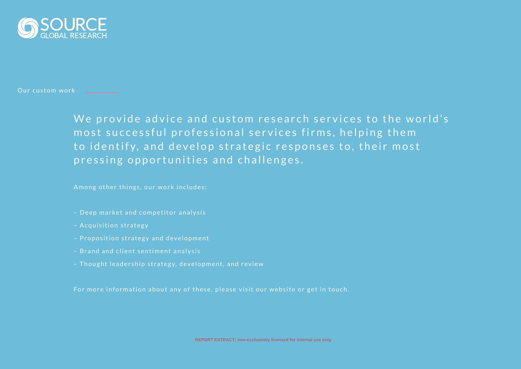

Our custom work **Constanting** 

We provide advice and custom research services to the world's most successful professional services firms, helping them to identify, and develop strategic responses to, their most pressing opportunities and challenges.

Among other things, our work includes:

- Deep market and competitor analysis
- Acquisition strategy
- Proposition strategy and development
- Brand and client sentiment analysis
- Thought leadership strategy, development, and review

For more information about any of these, please visit our website or get in touch.